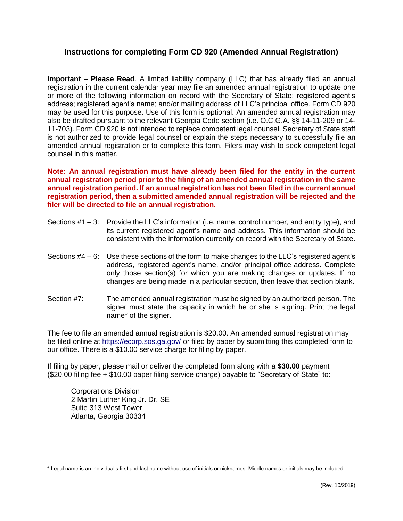## **Instructions for completing Form CD 920 (Amended Annual Registration)**

**Important – Please Read**. A limited liability company (LLC) that has already filed an annual registration in the current calendar year may file an amended annual registration to update one or more of the following information on record with the Secretary of State: registered agent's address; registered agent's name; and/or mailing address of LLC's principal office. Form CD 920 may be used for this purpose. Use of this form is optional. An amended annual registration may also be drafted pursuant to the relevant Georgia Code section (i.e. O.C.G.A. §§ 14-11-209 or 14- 11-703). Form CD 920 is not intended to replace competent legal counsel. Secretary of State staff is not authorized to provide legal counsel or explain the steps necessary to successfully file an amended annual registration or to complete this form. Filers may wish to seek competent legal counsel in this matter.

**Note: An annual registration must have already been filed for the entity in the current annual registration period prior to the filing of an amended annual registration in the same annual registration period. If an annual registration has not been filed in the current annual registration period, then a submitted amended annual registration will be rejected and the filer will be directed to file an annual registration.**

- Sections #1 3: Provide the LLC's information (i.e. name, control number, and entity type), and its current registered agent's name and address. This information should be consistent with the information currently on record with the Secretary of State.
- Sections #4 6: Use these sections of the form to make changes to the LLC's registered agent's address, registered agent's name, and/or principal office address. Complete only those section(s) for which you are making changes or updates. If no changes are being made in a particular section, then leave that section blank.
- Section #7: The amended annual registration must be signed by an authorized person. The signer must state the capacity in which he or she is signing. Print the legal name\* of the signer.

The fee to file an amended annual registration is \$20.00. An amended annual registration may be filed online at<https://ecorp.sos.ga.gov/> or filed by paper by submitting this completed form to our office. There is a \$10.00 service charge for filing by paper.

If filing by paper, please mail or deliver the completed form along with a **\$30.00** payment (\$20.00 filing fee + \$10.00 paper filing service charge) payable to "Secretary of State" to:

Corporations Division 2 Martin Luther King Jr. Dr. SE Suite 313 West Tower Atlanta, Georgia 30334

\* Legal name is an individual's first and last name without use of initials or nicknames. Middle names or initials may be included.